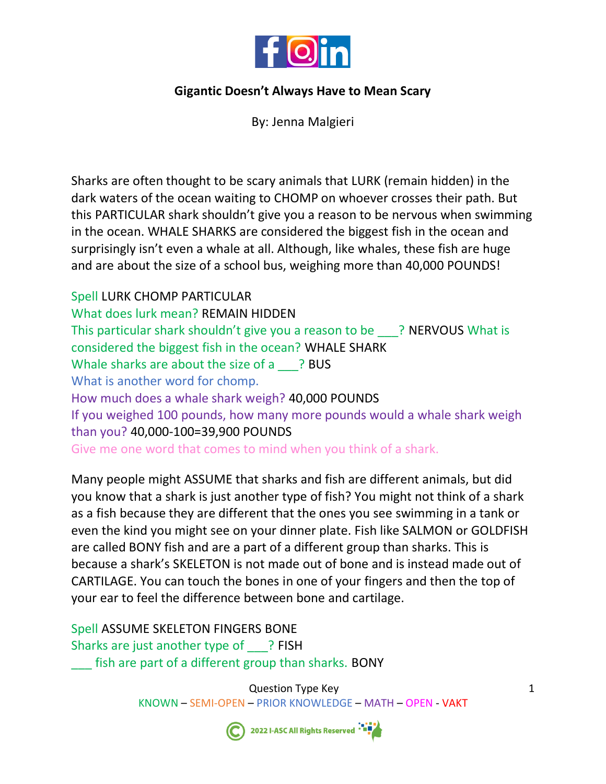

## **Gigantic Doesn't Always Have to Mean Scary**

By: Jenna Malgieri

Sharks are often thought to be scary animals that LURK (remain hidden) in the dark waters of the ocean waiting to CHOMP on whoever crosses their path. But this PARTICULAR shark shouldn't give you a reason to be nervous when swimming in the ocean. WHALE SHARKS are considered the biggest fish in the ocean and surprisingly isn't even a whale at all. Although, like whales, these fish are huge and are about the size of a school bus, weighing more than 40,000 POUNDS!

Spell LURK CHOMP PARTICULAR What does lurk mean? REMAIN HIDDEN This particular shark shouldn't give you a reason to be \_\_\_? NERVOUS What is considered the biggest fish in the ocean? WHALE SHARK Whale sharks are about the size of a \_\_\_? BUS What is another word for chomp. How much does a whale shark weigh? 40,000 POUNDS If you weighed 100 pounds, how many more pounds would a whale shark weigh than you? 40,000-100=39,900 POUNDS Give me one word that comes to mind when you think of a shark.

Many people might ASSUME that sharks and fish are different animals, but did you know that a shark is just another type of fish? You might not think of a shark as a fish because they are different that the ones you see swimming in a tank or even the kind you might see on your dinner plate. Fish like SALMON or GOLDFISH are called BONY fish and are a part of a different group than sharks. This is because a shark's SKELETON is not made out of bone and is instead made out of CARTILAGE. You can touch the bones in one of your fingers and then the top of your ear to feel the difference between bone and cartilage.

Spell ASSUME SKELETON FINGERS BONE Sharks are just another type of \_\_\_? FISH \_\_\_ fish are part of a different group than sharks. BONY

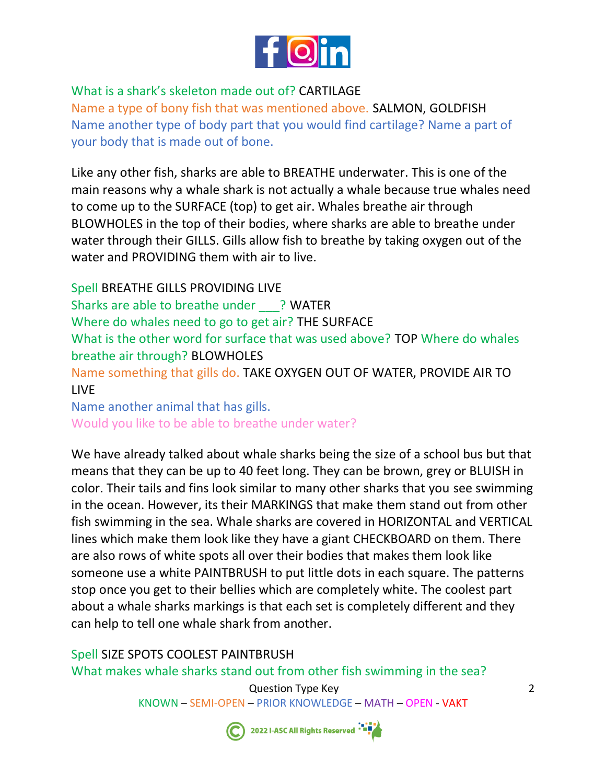

#### What is a shark's skeleton made out of? CARTILAGE

Name a type of bony fish that was mentioned above. SALMON, GOLDFISH Name another type of body part that you would find cartilage? Name a part of your body that is made out of bone.

Like any other fish, sharks are able to BREATHE underwater. This is one of the main reasons why a whale shark is not actually a whale because true whales need to come up to the SURFACE (top) to get air. Whales breathe air through BLOWHOLES in the top of their bodies, where sharks are able to breathe under water through their GILLS. Gills allow fish to breathe by taking oxygen out of the water and PROVIDING them with air to live.

Spell BREATHE GILLS PROVIDING LIVE Sharks are able to breathe under ? WATER Where do whales need to go to get air? THE SURFACE What is the other word for surface that was used above? TOP Where do whales breathe air through? BLOWHOLES Name something that gills do. TAKE OXYGEN OUT OF WATER, PROVIDE AIR TO LIVE Name another animal that has gills.

Would you like to be able to breathe under water?

We have already talked about whale sharks being the size of a school bus but that means that they can be up to 40 feet long. They can be brown, grey or BLUISH in color. Their tails and fins look similar to many other sharks that you see swimming in the ocean. However, its their MARKINGS that make them stand out from other fish swimming in the sea. Whale sharks are covered in HORIZONTAL and VERTICAL lines which make them look like they have a giant CHECKBOARD on them. There are also rows of white spots all over their bodies that makes them look like someone use a white PAINTBRUSH to put little dots in each square. The patterns stop once you get to their bellies which are completely white. The coolest part about a whale sharks markings is that each set is completely different and they can help to tell one whale shark from another.

Spell SIZE SPOTS COOLEST PAINTBRUSH What makes whale sharks stand out from other fish swimming in the sea?



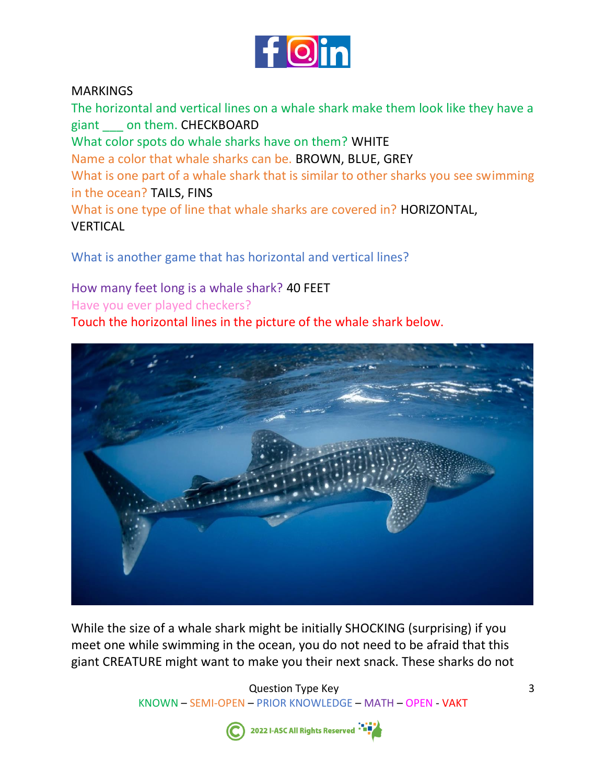

#### MARKINGS

The horizontal and vertical lines on a whale shark make them look like they have a giant on them. CHECKBOARD What color spots do whale sharks have on them? WHITE Name a color that whale sharks can be. BROWN, BLUE, GREY What is one part of a whale shark that is similar to other sharks you see swimming in the ocean? TAILS, FINS What is one type of line that whale sharks are covered in? HORIZONTAL, VERTICAL

What is another game that has horizontal and vertical lines?

How many feet long is a whale shark? 40 FEET Have you ever played checkers? Touch the horizontal lines in the picture of the whale shark below.



While the size of a whale shark might be initially SHOCKING (surprising) if you meet one while swimming in the ocean, you do not need to be afraid that this giant CREATURE might want to make you their next snack. These sharks do not



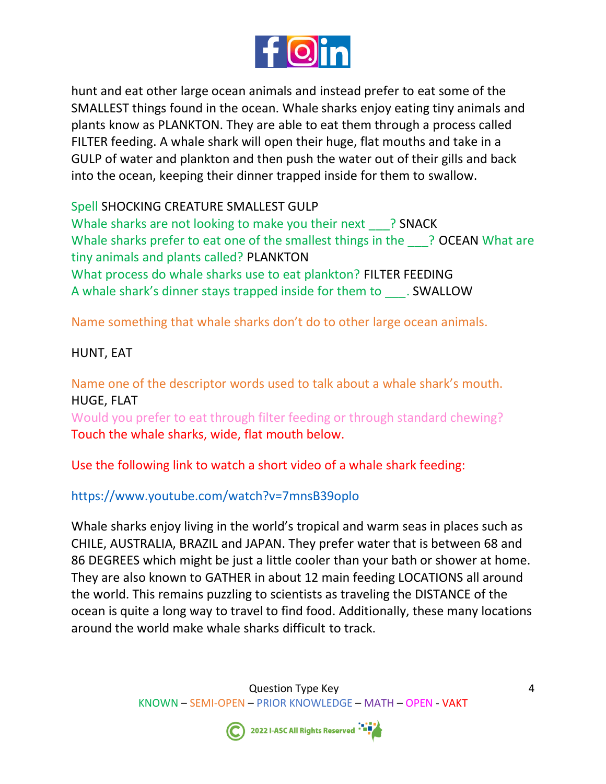

hunt and eat other large ocean animals and instead prefer to eat some of the SMALLEST things found in the ocean. Whale sharks enjoy eating tiny animals and plants know as PLANKTON. They are able to eat them through a process called FILTER feeding. A whale shark will open their huge, flat mouths and take in a GULP of water and plankton and then push the water out of their gills and back into the ocean, keeping their dinner trapped inside for them to swallow.

Spell SHOCKING CREATURE SMALLEST GULP Whale sharks are not looking to make you their next ? SNACK Whale sharks prefer to eat one of the smallest things in the <sup>?</sup> OCEAN What are tiny animals and plants called? PLANKTON What process do whale sharks use to eat plankton? FILTER FEEDING A whale shark's dinner stays trapped inside for them to \_\_\_\_. SWALLOW

Name something that whale sharks don't do to other large ocean animals.

## HUNT, EAT

Name one of the descriptor words used to talk about a whale shark's mouth. HUGE, FLAT

Would you prefer to eat through filter feeding or through standard chewing? Touch the whale sharks, wide, flat mouth below.

Use the following link to watch a short video of a whale shark feeding:

## https://www.youtube.com/watch?v=7mnsB39oplo

Whale sharks enjoy living in the world's tropical and warm seas in places such as CHILE, AUSTRALIA, BRAZIL and JAPAN. They prefer water that is between 68 and 86 DEGREES which might be just a little cooler than your bath or shower at home. They are also known to GATHER in about 12 main feeding LOCATIONS all around the world. This remains puzzling to scientists as traveling the DISTANCE of the ocean is quite a long way to travel to find food. Additionally, these many locations around the world make whale sharks difficult to track.



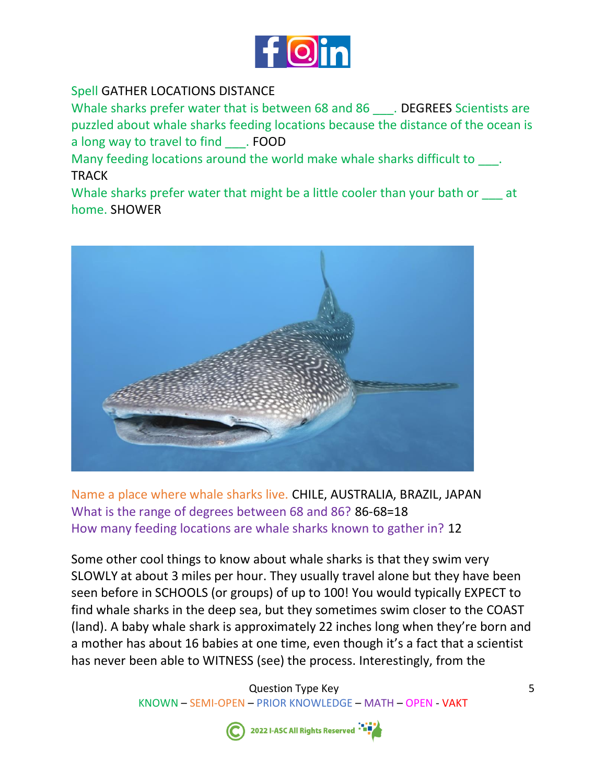

# Spell GATHER LOCATIONS DISTANCE

Whale sharks prefer water that is between 68 and 86 \_\_\_\_. DEGREES Scientists are puzzled about whale sharks feeding locations because the distance of the ocean is a long way to travel to find FOOD

Many feeding locations around the world make whale sharks difficult to  $\blacksquare$ . **TRACK** 

Whale sharks prefer water that might be a little cooler than your bath or at home. SHOWER



Name a place where whale sharks live. CHILE, AUSTRALIA, BRAZIL, JAPAN What is the range of degrees between 68 and 86? 86-68=18 How many feeding locations are whale sharks known to gather in? 12

Some other cool things to know about whale sharks is that they swim very SLOWLY at about 3 miles per hour. They usually travel alone but they have been seen before in SCHOOLS (or groups) of up to 100! You would typically EXPECT to find whale sharks in the deep sea, but they sometimes swim closer to the COAST (land). A baby whale shark is approximately 22 inches long when they're born and a mother has about 16 babies at one time, even though it's a fact that a scientist has never been able to WITNESS (see) the process. Interestingly, from the



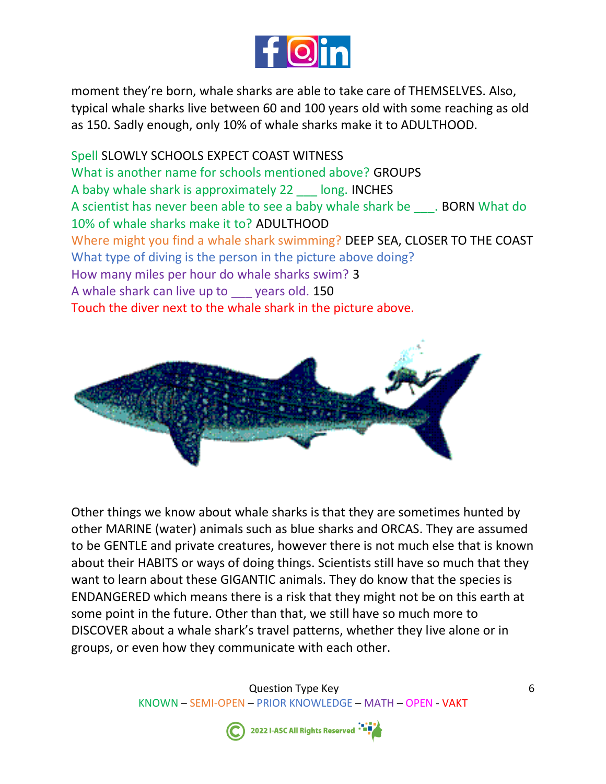

moment they're born, whale sharks are able to take care of THEMSELVES. Also, typical whale sharks live between 60 and 100 years old with some reaching as old as 150. Sadly enough, only 10% of whale sharks make it to ADULTHOOD.

Spell SLOWLY SCHOOLS EXPECT COAST WITNESS What is another name for schools mentioned above? GROUPS A baby whale shark is approximately 22 \_\_\_ long. INCHES A scientist has never been able to see a baby whale shark be \_\_\_\_. BORN What do 10% of whale sharks make it to? ADULTHOOD Where might you find a whale shark swimming? DEEP SEA, CLOSER TO THE COAST What type of diving is the person in the picture above doing? How many miles per hour do whale sharks swim? 3 A whale shark can live up to years old. 150 Touch the diver next to the whale shark in the picture above.



Other things we know about whale sharks is that they are sometimes hunted by other MARINE (water) animals such as blue sharks and ORCAS. They are assumed to be GENTLE and private creatures, however there is not much else that is known about their HABITS or ways of doing things. Scientists still have so much that they want to learn about these GIGANTIC animals. They do know that the species is ENDANGERED which means there is a risk that they might not be on this earth at some point in the future. Other than that, we still have so much more to DISCOVER about a whale shark's travel patterns, whether they live alone or in groups, or even how they communicate with each other.



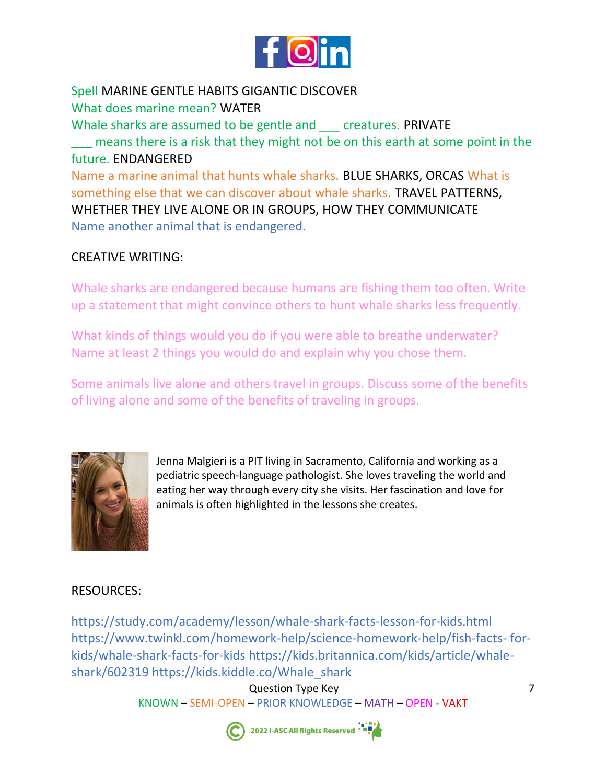

Spell MARINE GENTLE HABITS GIGANTIC DISCOVER What does marine mean? WATER Whale sharks are assumed to be gentle and creatures. PRIVATE means there is a risk that they might not be on this earth at some point in the future. ENDANGERED Name a marine animal that hunts whale sharks. BLUE SHARKS, ORCAS What is something else that we can discover about whale sharks. TRAVEL PATTERNS, WHETHER THEY LIVE ALONE OR IN GROUPS, HOW THEY COMMUNICATE Name another animal that is endangered.

## CREATIVE WRITING:

Whale sharks are endangered because humans are fishing them too often. Write up a statement that might convince others to hunt whale sharks less frequently.

What kinds of things would you do if you were able to breathe underwater? Name at least 2 things you would do and explain why you chose them.

Some animals live alone and others travel in groups. Discuss some of the benefits of living alone and some of the benefits of traveling in groups.



Jenna Malgieri is a PIT living in Sacramento, California and working as a pediatric speech-language pathologist. She loves traveling the world and eating her way through every city she visits. Her fascination and love for animals is often highlighted in the lessons she creates.

#### RESOURCES:

https://study.com/academy/lesson/whale-shark-facts-lesson-for-kids.html https://www.twinkl.com/homework-help/science-homework-help/fish-facts- forkids/whale-shark-facts-for-kids https://kids.britannica.com/kids/article/whaleshark/602319 https://kids.kiddle.co/Whale\_shark